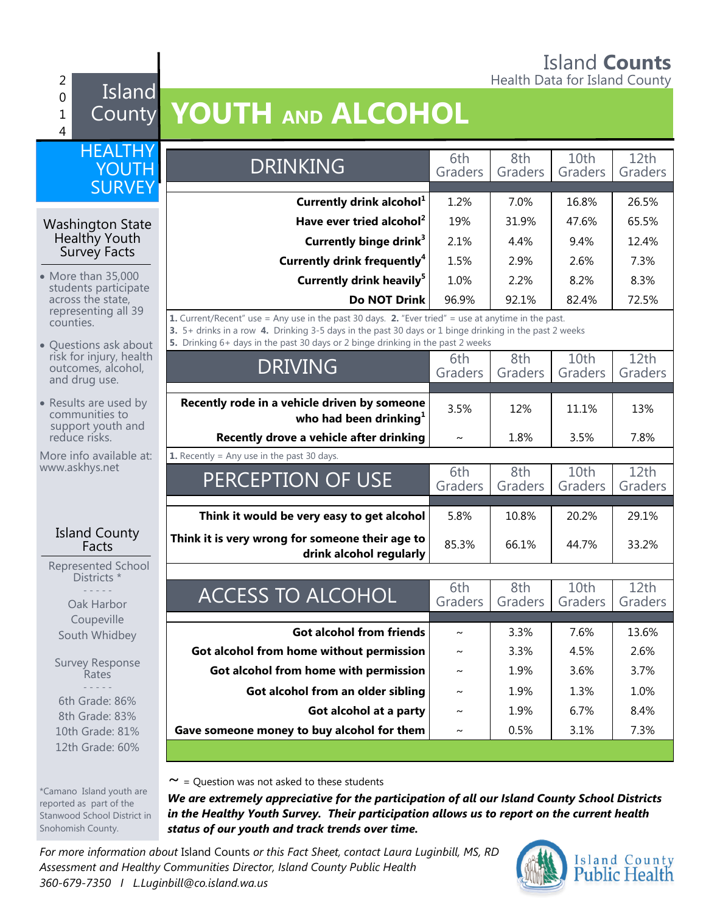#### Island **Counts** 2 **Figure 1.** Health Data for Island County

#### 0 1 4 Island

 $W<sub>0</sub>$ 

\*Camano Island youth are reported as part of the Stanwood School District in Snohomish County.

## County **YOUTH AND ALCOHOL**

| <b>HEALTHY</b><br>YOUTH                                       | <b>DRINKING</b>                                                                                                                                                                                                                                                                                                                              | 6th<br>Graders        | 8th<br>Graders | 10th<br>Graders | 12th<br>Graders |
|---------------------------------------------------------------|----------------------------------------------------------------------------------------------------------------------------------------------------------------------------------------------------------------------------------------------------------------------------------------------------------------------------------------------|-----------------------|----------------|-----------------|-----------------|
| <b>SURVEY</b>                                                 |                                                                                                                                                                                                                                                                                                                                              |                       |                |                 |                 |
|                                                               | Currently drink alcohol <sup>1</sup>                                                                                                                                                                                                                                                                                                         | 1.2%                  | 7.0%           | 16.8%           | 26.5%           |
| <b>Washington State</b>                                       | Have ever tried alcohol <sup>2</sup>                                                                                                                                                                                                                                                                                                         | 19%                   | 31.9%          | 47.6%           | 65.5%           |
| Healthy Youth<br>Survey Facts                                 | Currently binge drink <sup>3</sup>                                                                                                                                                                                                                                                                                                           | 2.1%                  | 4.4%           | 9.4%            | 12.4%           |
|                                                               | Currently drink frequently <sup>4</sup>                                                                                                                                                                                                                                                                                                      | 1.5%                  | 2.9%           | 2.6%            | 7.3%            |
| • More than 35,000<br>students participate                    | Currently drink heavily <sup>5</sup>                                                                                                                                                                                                                                                                                                         | 1.0%                  | 2.2%           | 8.2%            | 8.3%            |
| across the state,<br>representing all 39                      | <b>Do NOT Drink</b>                                                                                                                                                                                                                                                                                                                          | 96.9%                 | 92.1%          | 82.4%           | 72.5%           |
| counties.<br>• Questions ask about<br>risk for injury, health | <b>1.</b> Current/Recent" use = Any use in the past 30 days. <b>2.</b> "Ever tried" = use at anytime in the past.<br>3. 5+ drinks in a row 4. Drinking 3-5 days in the past 30 days or 1 binge drinking in the past 2 weeks<br>5. Drinking 6+ days in the past 30 days or 2 binge drinking in the past 2 weeks<br>10th<br>12th<br>8th<br>6th |                       |                |                 |                 |
| outcomes, alcohol,<br>and drug use.                           | <b>DRIVING</b>                                                                                                                                                                                                                                                                                                                               | Graders               | Graders        | Graders         | Graders         |
|                                                               |                                                                                                                                                                                                                                                                                                                                              |                       |                |                 |                 |
| • Results are used by<br>communities to<br>support youth and  | Recently rode in a vehicle driven by someone<br>who had been drinking <sup>1</sup>                                                                                                                                                                                                                                                           | 3.5%                  | 12%            | 11.1%           | 13%             |
| reduce risks.                                                 | Recently drove a vehicle after drinking                                                                                                                                                                                                                                                                                                      | $\sim$                | 1.8%           | 3.5%            | 7.8%            |
| More info available at:<br>www.askhys.net                     | <b>1.</b> Recently = Any use in the past 30 days.                                                                                                                                                                                                                                                                                            |                       |                |                 |                 |
|                                                               | PERCEPTION OF USE                                                                                                                                                                                                                                                                                                                            | 6th<br>Graders        | 8th<br>Graders | 10th<br>Graders | 12th<br>Graders |
|                                                               | Think it would be very easy to get alcohol                                                                                                                                                                                                                                                                                                   | 5.8%                  | 10.8%          | 20.2%           | 29.1%           |
| <b>Island County</b><br>Facts                                 | Think it is very wrong for someone their age to<br>drink alcohol regularly                                                                                                                                                                                                                                                                   | 85.3%                 | 66.1%          | 44.7%           | 33.2%           |
| Represented School<br>Districts *                             |                                                                                                                                                                                                                                                                                                                                              |                       |                |                 |                 |
| Oak Harbor<br>Coupeville                                      | <b>ACCESS TO ALCOHOL</b>                                                                                                                                                                                                                                                                                                                     | 6th<br>Graders        | 8th<br>Graders | 10th<br>Graders | 12th<br>Graders |
| South Whidbey                                                 | <b>Got alcohol from friends</b>                                                                                                                                                                                                                                                                                                              | $\tilde{\phantom{a}}$ | 3.3%           | 7.6%            | 13.6%           |
|                                                               | Got alcohol from home without permission                                                                                                                                                                                                                                                                                                     | $\sim$                | 3.3%           | 4.5%            | 2.6%            |
| <b>Survey Response</b><br>Rates                               | Got alcohol from home with permission                                                                                                                                                                                                                                                                                                        | $\sim$                | 1.9%           | 3.6%            | 3.7%            |
|                                                               | Got alcohol from an older sibling                                                                                                                                                                                                                                                                                                            | $\sim$                | 1.9%           | 1.3%            | 1.0%            |
| 6th Grade: 86%                                                | Got alcohol at a party                                                                                                                                                                                                                                                                                                                       | $\tilde{\phantom{a}}$ | 1.9%           | 6.7%            | 8.4%            |
| 8th Grade: 83%<br>10th Grade: 81%                             | Gave someone money to buy alcohol for them                                                                                                                                                                                                                                                                                                   | $\sim$                | 0.5%           | 3.1%            | 7.3%            |
| 12th Grade: 60%                                               |                                                                                                                                                                                                                                                                                                                                              |                       |                |                 |                 |
|                                                               |                                                                                                                                                                                                                                                                                                                                              |                       |                |                 |                 |

 $\sim$  = Question was not asked to these students

*We are extremely appreciative for the participation of all our Island County School Districts in the Healthy Youth Survey. Their participation allows us to report on the current health status of our youth and track trends over time.*

*For more information about* Island Counts *or this Fact Sheet, contact Laura Luginbill, MS, RD Assessment and Healthy Communities Director, Island County Public Health 360-679-7350 I L.Luginbill@co.island.wa.us*